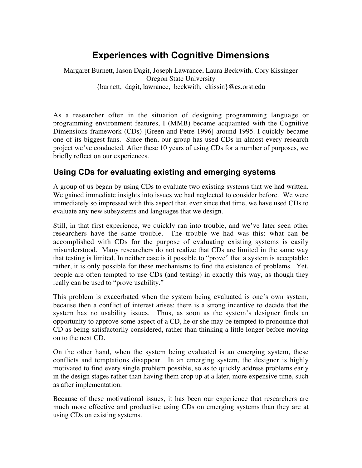# **Experiences with Cognitive Dimensions**

Margaret Burnett, Jason Dagit, Joseph Lawrance, Laura Beckwith, Cory Kissinger Oregon State University {burnett, dagit, lawrance, beckwith, ckissin}@cs.orst.edu

As a researcher often in the situation of designing programming language or programming environment features, I (MMB) became acquainted with the Cognitive Dimensions framework (CDs) [Green and Petre 1996] around 1995. I quickly became one of its biggest fans. Since then, our group has used CDs in almost every research project we've conducted. After these 10 years of using CDs for a number of purposes, we briefly reflect on our experiences.

# **Using CDs for evaluating existing and emerging systems**

A group of us began by using CDs to evaluate two existing systems that we had written. We gained immediate insights into issues we had neglected to consider before. We were immediately so impressed with this aspect that, ever since that time, we have used CDs to evaluate any new subsystems and languages that we design.

Still, in that first experience, we quickly ran into trouble, and we've later seen other researchers have the same trouble. The trouble we had was this: what can be accomplished with CDs for the purpose of evaluating existing systems is easily misunderstood. Many researchers do not realize that CDs are limited in the same way that testing is limited. In neither case is it possible to "prove" that a system is acceptable; rather, it is only possible for these mechanisms to find the existence of problems. Yet, people are often tempted to use CDs (and testing) in exactly this way, as though they really can be used to "prove usability."

This problem is exacerbated when the system being evaluated is one's own system, because then a conflict of interest arises: there is a strong incentive to decide that the system has no usability issues. Thus, as soon as the system's designer finds an opportunity to approve some aspect of a CD, he or she may be tempted to pronounce that CD as being satisfactorily considered, rather than thinking a little longer before moving on to the next CD.

On the other hand, when the system being evaluated is an emerging system, these conflicts and temptations disappear. In an emerging system, the designer is highly motivated to find every single problem possible, so as to quickly address problems early in the design stages rather than having them crop up at a later, more expensive time, such as after implementation.

Because of these motivational issues, it has been our experience that researchers are much more effective and productive using CDs on emerging systems than they are at using CDs on existing systems.